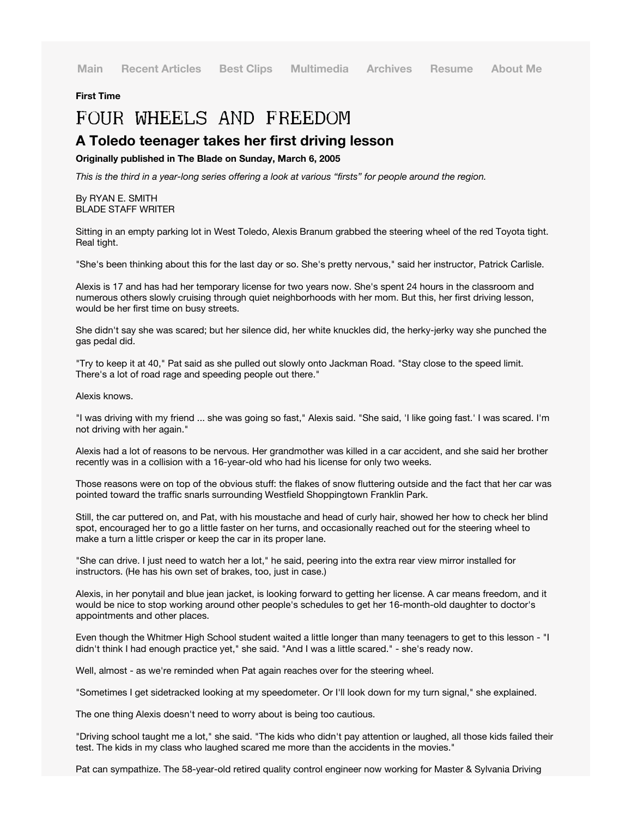**First Time**

## FOUR WHEELS AND FREEDOM

## **A Toledo teenager takes her first driving lesson**

**Originally published in The Blade on Sunday, March 6, 2005**

*This is the third in a year-long series offering a look at various "firsts" for people around the region.*

By RYAN E. SMITH BLADE STAFF WRITER

Sitting in an empty parking lot in West Toledo, Alexis Branum grabbed the steering wheel of the red Toyota tight. Real tight.

"She's been thinking about this for the last day or so. She's pretty nervous," said her instructor, Patrick Carlisle.

Alexis is 17 and has had her temporary license for two years now. She's spent 24 hours in the classroom and numerous others slowly cruising through quiet neighborhoods with her mom. But this, her first driving lesson, would be her first time on busy streets.

She didn't say she was scared; but her silence did, her white knuckles did, the herky-jerky way she punched the gas pedal did.

"Try to keep it at 40," Pat said as she pulled out slowly onto Jackman Road. "Stay close to the speed limit. There's a lot of road rage and speeding people out there."

Alexis knows.

"I was driving with my friend ... she was going so fast," Alexis said. "She said, 'I like going fast.' I was scared. I'm not driving with her again."

Alexis had a lot of reasons to be nervous. Her grandmother was killed in a car accident, and she said her brother recently was in a collision with a 16-year-old who had his license for only two weeks.

Those reasons were on top of the obvious stuff: the flakes of snow fluttering outside and the fact that her car was pointed toward the traffic snarls surrounding Westfield Shoppingtown Franklin Park.

Still, the car puttered on, and Pat, with his moustache and head of curly hair, showed her how to check her blind spot, encouraged her to go a little faster on her turns, and occasionally reached out for the steering wheel to make a turn a little crisper or keep the car in its proper lane.

"She can drive. I just need to watch her a lot," he said, peering into the extra rear view mirror installed for instructors. (He has his own set of brakes, too, just in case.)

Alexis, in her ponytail and blue jean jacket, is looking forward to getting her license. A car means freedom, and it would be nice to stop working around other people's schedules to get her 16-month-old daughter to doctor's appointments and other places.

Even though the Whitmer High School student waited a little longer than many teenagers to get to this lesson - "I didn't think I had enough practice yet," she said. "And I was a little scared." - she's ready now.

Well, almost - as we're reminded when Pat again reaches over for the steering wheel.

"Sometimes I get sidetracked looking at my speedometer. Or I'll look down for my turn signal," she explained.

The one thing Alexis doesn't need to worry about is being too cautious.

"Driving school taught me a lot," she said. "The kids who didn't pay attention or laughed, all those kids failed their test. The kids in my class who laughed scared me more than the accidents in the movies."

Pat can sympathize. The 58-year-old retired quality control engineer now working for Master & Sylvania Driving